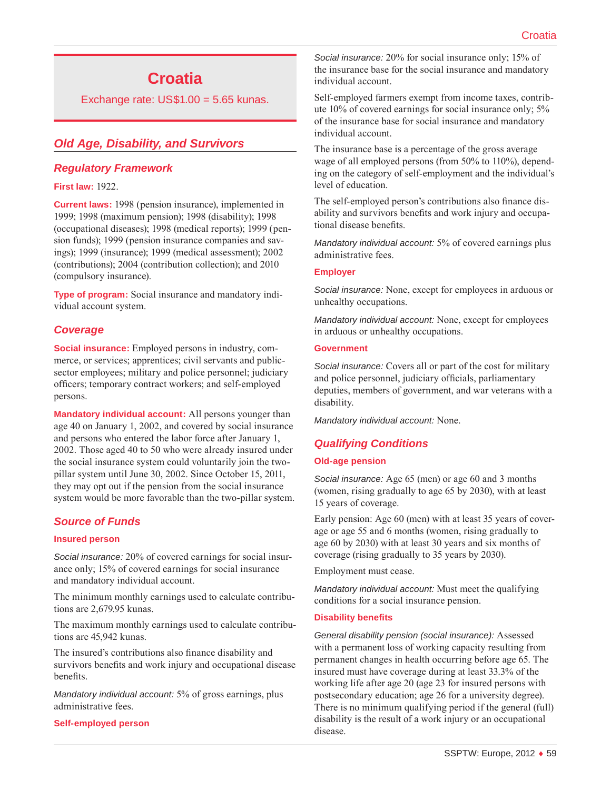# **Croatia**

Exchange rate:  $US$1.00 = 5.65$  kunas.

# *Old Age, Disability, and Survivors*

### *Regulatory Framework*

#### **First law:** 1922.

**Current laws:** 1998 (pension insurance), implemented in 1999; 1998 (maximum pension); 1998 (disability); 1998 (occupational diseases); 1998 (medical reports); 1999 (pension funds); 1999 (pension insurance companies and savings); 1999 (insurance); 1999 (medical assessment); 2002 (contributions); 2004 (contribution collection); and 2010 (compulsory insurance).

**Type of program:** Social insurance and mandatory individual account system.

### *Coverage*

**Social insurance:** Employed persons in industry, commerce, or services; apprentices; civil servants and publicsector employees; military and police personnel; judiciary officers; temporary contract workers; and self-employed persons.

**Mandatory individual account:** All persons younger than age 40 on January 1, 2002, and covered by social insurance and persons who entered the labor force after January 1, 2002. Those aged 40 to 50 who were already insured under the social insurance system could voluntarily join the twopillar system until June 30, 2002. Since October 15, 2011, they may opt out if the pension from the social insurance system would be more favorable than the two-pillar system.

# *Source of Funds*

#### **Insured person**

*Social insurance:* 20% of covered earnings for social insurance only; 15% of covered earnings for social insurance and mandatory individual account.

The minimum monthly earnings used to calculate contributions are 2,679.95 kunas.

The maximum monthly earnings used to calculate contributions are 45,942 kunas.

The insured's contributions also finance disability and survivors benefits and work injury and occupational disease benefits.

*Mandatory individual account:* 5% of gross earnings, plus administrative fees.

#### **Self-employed person**

*Social insurance:* 20% for social insurance only; 15% of the insurance base for the social insurance and mandatory individual account.

Self-employed farmers exempt from income taxes, contribute 10% of covered earnings for social insurance only; 5% of the insurance base for social insurance and mandatory individual account.

The insurance base is a percentage of the gross average wage of all employed persons (from 50% to 110%), depending on the category of self-employment and the individual's level of education.

The self-employed person's contributions also finance disability and survivors benefits and work injury and occupational disease benefits.

*Mandatory individual account:* 5% of covered earnings plus administrative fees.

#### **Employer**

*Social insurance:* None, except for employees in arduous or unhealthy occupations.

*Mandatory individual account:* None, except for employees in arduous or unhealthy occupations.

#### **Government**

*Social insurance:* Covers all or part of the cost for military and police personnel, judiciary officials, parliamentary deputies, members of government, and war veterans with a disability.

*Mandatory individual account:* None.

# *Qualifying Conditions*

#### **Old-age pension**

*Social insurance:* Age 65 (men) or age 60 and 3 months (women, rising gradually to age 65 by 2030), with at least 15 years of coverage.

Early pension: Age 60 (men) with at least 35 years of coverage or age 55 and 6 months (women, rising gradually to age 60 by 2030) with at least 30 years and six months of coverage (rising gradually to 35 years by 2030).

Employment must cease.

*Mandatory individual account:* Must meet the qualifying conditions for a social insurance pension.

#### **Disability benefits**

*General disability pension (social insurance):* Assessed with a permanent loss of working capacity resulting from permanent changes in health occurring before age 65. The insured must have coverage during at least 33.3% of the working life after age 20 (age 23 for insured persons with postsecondary education; age 26 for a university degree). There is no minimum qualifying period if the general (full) disability is the result of a work injury or an occupational disease.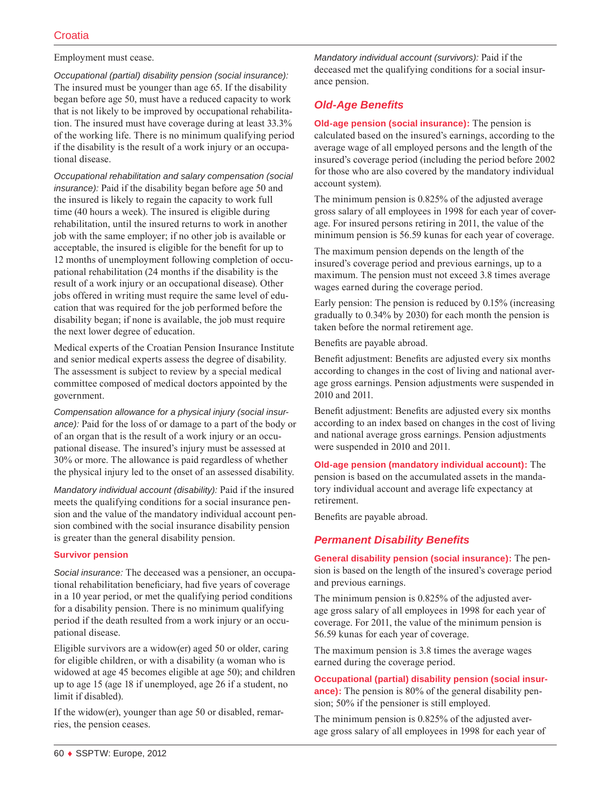#### Employment must cease.

*Occupational (partial) disability pension (social insurance):* The insured must be younger than age 65. If the disability began before age 50, must have a reduced capacity to work that is not likely to be improved by occupational rehabilitation. The insured must have coverage during at least 33.3% of the working life. There is no minimum qualifying period if the disability is the result of a work injury or an occupational disease.

*Occupational rehabilitation and salary compensation (social insurance):* Paid if the disability began before age 50 and the insured is likely to regain the capacity to work full time (40 hours a week). The insured is eligible during rehabilitation, until the insured returns to work in another job with the same employer; if no other job is available or acceptable, the insured is eligible for the benefit for up to 12 months of unemployment following completion of occupational rehabilitation (24 months if the disability is the result of a work injury or an occupational disease). Other jobs offered in writing must require the same level of education that was required for the job performed before the disability began; if none is available, the job must require the next lower degree of education.

Medical experts of the Croatian Pension Insurance Institute and senior medical experts assess the degree of disability. The assessment is subject to review by a special medical committee composed of medical doctors appointed by the government.

*Compensation allowance for a physical injury (social insurance):* Paid for the loss of or damage to a part of the body or of an organ that is the result of a work injury or an occupational disease. The insured's injury must be assessed at 30% or more. The allowance is paid regardless of whether the physical injury led to the onset of an assessed disability.

*Mandatory individual account (disability):* Paid if the insured meets the qualifying conditions for a social insurance pension and the value of the mandatory individual account pension combined with the social insurance disability pension is greater than the general disability pension.

#### **Survivor pension**

*Social insurance:* The deceased was a pensioner, an occupational rehabilitation beneficiary, had five years of coverage in a 10 year period, or met the qualifying period conditions for a disability pension. There is no minimum qualifying period if the death resulted from a work injury or an occupational disease.

Eligible survivors are a widow(er) aged 50 or older, caring for eligible children, or with a disability (a woman who is widowed at age 45 becomes eligible at age 50); and children up to age 15 (age 18 if unemployed, age 26 if a student, no limit if disabled).

If the widow(er), younger than age 50 or disabled, remarries, the pension ceases.

*Mandatory individual account (survivors):* Paid if the deceased met the qualifying conditions for a social insurance pension.

# *Old-Age Benefits*

**Old-age pension (social insurance):** The pension is calculated based on the insured's earnings, according to the average wage of all employed persons and the length of the insured's coverage period (including the period before 2002 for those who are also covered by the mandatory individual account system).

The minimum pension is 0.825% of the adjusted average gross salary of all employees in 1998 for each year of coverage. For insured persons retiring in 2011, the value of the minimum pension is 56.59 kunas for each year of coverage.

The maximum pension depends on the length of the insured's coverage period and previous earnings, up to a maximum. The pension must not exceed 3.8 times average wages earned during the coverage period.

Early pension: The pension is reduced by 0.15% (increasing gradually to 0.34% by 2030) for each month the pension is taken before the normal retirement age.

Benefits are payable abroad.

Benefit adjustment: Benefits are adjusted every six months according to changes in the cost of living and national average gross earnings. Pension adjustments were suspended in 2010 and 2011.

Benefit adjustment: Benefits are adjusted every six months according to an index based on changes in the cost of living and national average gross earnings. Pension adjustments were suspended in 2010 and 2011.

**Old-age pension (mandatory individual account):** The pension is based on the accumulated assets in the mandatory individual account and average life expectancy at retirement.

Benefits are payable abroad.

# *Permanent Disability Benefits*

**General disability pension (social insurance):** The pension is based on the length of the insured's coverage period and previous earnings.

The minimum pension is 0.825% of the adjusted average gross salary of all employees in 1998 for each year of coverage. For 2011, the value of the minimum pension is 56.59 kunas for each year of coverage.

The maximum pension is 3.8 times the average wages earned during the coverage period.

**Occupational (partial) disability pension (social insurance):** The pension is 80% of the general disability pension; 50% if the pensioner is still employed.

The minimum pension is 0.825% of the adjusted average gross salary of all employees in 1998 for each year of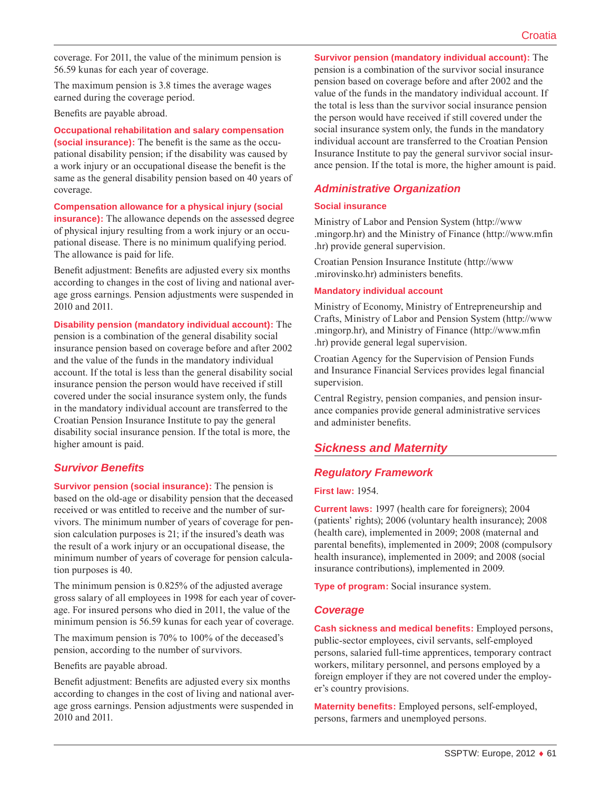coverage. For 2011, the value of the minimum pension is 56.59 kunas for each year of coverage.

The maximum pension is 3.8 times the average wages earned during the coverage period.

Benefits are payable abroad.

**Occupational rehabilitation and salary compensation (social insurance):** The benefit is the same as the occupational disability pension; if the disability was caused by a work injury or an occupational disease the benefit is the same as the general disability pension based on 40 years of coverage.

**Compensation allowance for a physical injury (social insurance):** The allowance depends on the assessed degree of physical injury resulting from a work injury or an occupational disease. There is no minimum qualifying period. The allowance is paid for life.

Benefit adjustment: Benefits are adjusted every six months according to changes in the cost of living and national average gross earnings. Pension adjustments were suspended in 2010 and 2011.

**Disability pension (mandatory individual account):** The pension is a combination of the general disability social insurance pension based on coverage before and after 2002 and the value of the funds in the mandatory individual account. If the total is less than the general disability social insurance pension the person would have received if still covered under the social insurance system only, the funds in the mandatory individual account are transferred to the Croatian Pension Insurance Institute to pay the general disability social insurance pension. If the total is more, the higher amount is paid.

### *Survivor Benefits*

**Survivor pension (social insurance):** The pension is based on the old-age or disability pension that the deceased received or was entitled to receive and the number of survivors. The minimum number of years of coverage for pension calculation purposes is 21; if the insured's death was the result of a work injury or an occupational disease, the minimum number of years of coverage for pension calculation purposes is 40.

The minimum pension is 0.825% of the adjusted average gross salary of all employees in 1998 for each year of coverage. For insured persons who died in 2011, the value of the minimum pension is 56.59 kunas for each year of coverage.

The maximum pension is 70% to 100% of the deceased's pension, according to the number of survivors.

Benefits are payable abroad.

Benefit adjustment: Benefits are adjusted every six months according to changes in the cost of living and national average gross earnings. Pension adjustments were suspended in 2010 and 2011.

**Survivor pension (mandatory individual account):** The pension is a combination of the survivor social insurance pension based on coverage before and after 2002 and the value of the funds in the mandatory individual account. If the total is less than the survivor social insurance pension the person would have received if still covered under the social insurance system only, the funds in the mandatory individual account are transferred to the Croatian Pension Insurance Institute to pay the general survivor social insurance pension. If the total is more, the higher amount is paid.

# *Administrative Organization*

#### **Social insurance**

Ministry of Labor and Pension System [\(http://www](http://www.mingorp.hr) [.mingorp.hr\)](http://www.mingorp.hr) and the Ministry of Finance ([http://www.mfin](http://www.mfin.hr) [.hr\)](http://www.mfin.hr) provide general supervision.

Croatian Pension Insurance Institute ([http://www](http://www.mirovinsko.hr) [.mirovinsko.hr](http://www.mirovinsko.hr)) administers benefits.

#### **Mandatory individual account**

Ministry of Economy, Ministry of Entrepreneurship and Crafts, Ministry of Labor and Pension System ([http://www](http://www.mingorp.hr) [.mingorp.hr\)](http://www.mingorp.hr), and Ministry of Finance ([http://www.mfin](http://www.mfin.hr) [.hr\)](http://www.mfin.hr) provide general legal supervision.

Croatian Agency for the Supervision of Pension Funds and Insurance Financial Services provides legal financial supervision.

Central Registry, pension companies, and pension insurance companies provide general administrative services and administer benefits.

# *Sickness and Maternity*

# *Regulatory Framework*

#### **First law:** 1954.

**Current laws:** 1997 (health care for foreigners); 2004 (patients' rights); 2006 (voluntary health insurance); 2008 (health care), implemented in 2009; 2008 (maternal and parental benefits), implemented in 2009; 2008 (compulsory health insurance), implemented in 2009; and 2008 (social insurance contributions), implemented in 2009.

**Type of program:** Social insurance system.

### *Coverage*

**Cash sickness and medical benefits:** Employed persons, public-sector employees, civil servants, self-employed persons, salaried full-time apprentices, temporary contract workers, military personnel, and persons employed by a foreign employer if they are not covered under the employer's country provisions.

**Maternity benefits:** Employed persons, self-employed, persons, farmers and unemployed persons.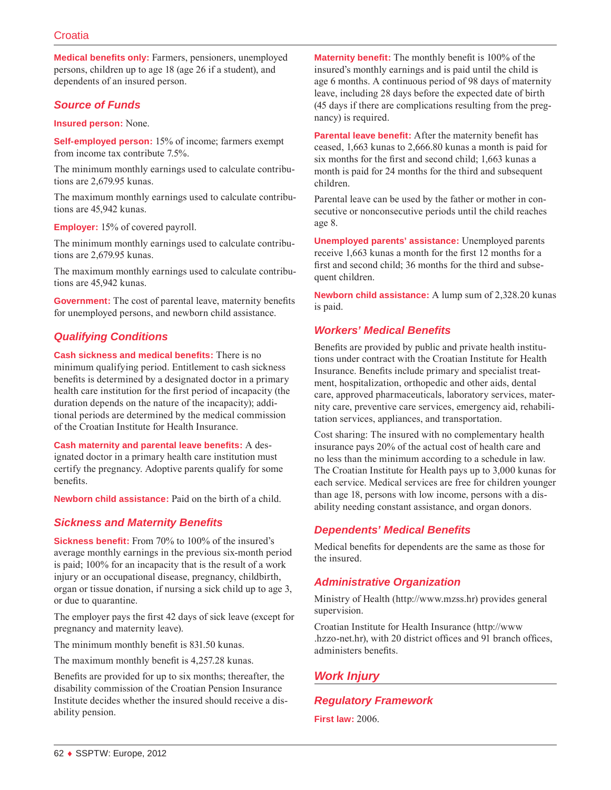**Medical benefits only:** Farmers, pensioners, unemployed persons, children up to age 18 (age 26 if a student), and dependents of an insured person.

# *Source of Funds*

#### **Insured person:** None.

**Self-employed person:** 15% of income; farmers exempt from income tax contribute 7.5%.

The minimum monthly earnings used to calculate contributions are 2,679.95 kunas.

The maximum monthly earnings used to calculate contributions are 45,942 kunas.

**Employer:** 15% of covered payroll.

The minimum monthly earnings used to calculate contributions are 2,679.95 kunas.

The maximum monthly earnings used to calculate contributions are 45,942 kunas.

**Government:** The cost of parental leave, maternity benefits for unemployed persons, and newborn child assistance.

# *Qualifying Conditions*

**Cash sickness and medical benefits:** There is no minimum qualifying period. Entitlement to cash sickness benefits is determined by a designated doctor in a primary health care institution for the first period of incapacity (the duration depends on the nature of the incapacity); additional periods are determined by the medical commission of the Croatian Institute for Health Insurance.

**Cash maternity and parental leave benefits:** A designated doctor in a primary health care institution must certify the pregnancy. Adoptive parents qualify for some benefits.

**Newborn child assistance:** Paid on the birth of a child.

# *Sickness and Maternity Benefits*

**Sickness benefit:** From 70% to 100% of the insured's average monthly earnings in the previous six-month period is paid; 100% for an incapacity that is the result of a work injury or an occupational disease, pregnancy, childbirth, organ or tissue donation, if nursing a sick child up to age 3, or due to quarantine.

The employer pays the first 42 days of sick leave (except for pregnancy and maternity leave).

The minimum monthly benefit is 831.50 kunas.

The maximum monthly benefit is 4,257.28 kunas.

Benefits are provided for up to six months; thereafter, the disability commission of the Croatian Pension Insurance Institute decides whether the insured should receive a disability pension.

**Maternity benefit:** The monthly benefit is 100% of the insured's monthly earnings and is paid until the child is age 6 months. A continuous period of 98 days of maternity leave, including 28 days before the expected date of birth (45 days if there are complications resulting from the pregnancy) is required.

**Parental leave benefit:** After the maternity benefit has ceased, 1,663 kunas to 2,666.80 kunas a month is paid for six months for the first and second child; 1,663 kunas a month is paid for 24 months for the third and subsequent children.

Parental leave can be used by the father or mother in consecutive or nonconsecutive periods until the child reaches age 8.

**Unemployed parents' assistance:** Unemployed parents receive 1,663 kunas a month for the first 12 months for a first and second child; 36 months for the third and subsequent children.

**Newborn child assistance:** A lump sum of 2,328.20 kunas is paid.

### *Workers' Medical Benefits*

Benefits are provided by public and private health institutions under contract with the Croatian Institute for Health Insurance. Benefits include primary and specialist treatment, hospitalization, orthopedic and other aids, dental care, approved pharmaceuticals, laboratory services, maternity care, preventive care services, emergency aid, rehabilitation services, appliances, and transportation.

Cost sharing: The insured with no complementary health insurance pays 20% of the actual cost of health care and no less than the minimum according to a schedule in law. The Croatian Institute for Health pays up to 3,000 kunas for each service. Medical services are free for children younger than age 18, persons with low income, persons with a disability needing constant assistance, and organ donors.

# *Dependents' Medical Benefits*

Medical benefits for dependents are the same as those for the insured.

# *Administrative Organization*

Ministry of Health ([http://www.mzss.hr\)](http://www.mzss.hr) provides general supervision.

Croatian Institute for Health Insurance ([http://www](http://www.hzzo-net.hr) [.hzzo-net.hr\)](http://www.hzzo-net.hr), with 20 district offices and 91 branch offices, administers benefits.

# *Work Injury*

# *Regulatory Framework*

**First law:** 2006.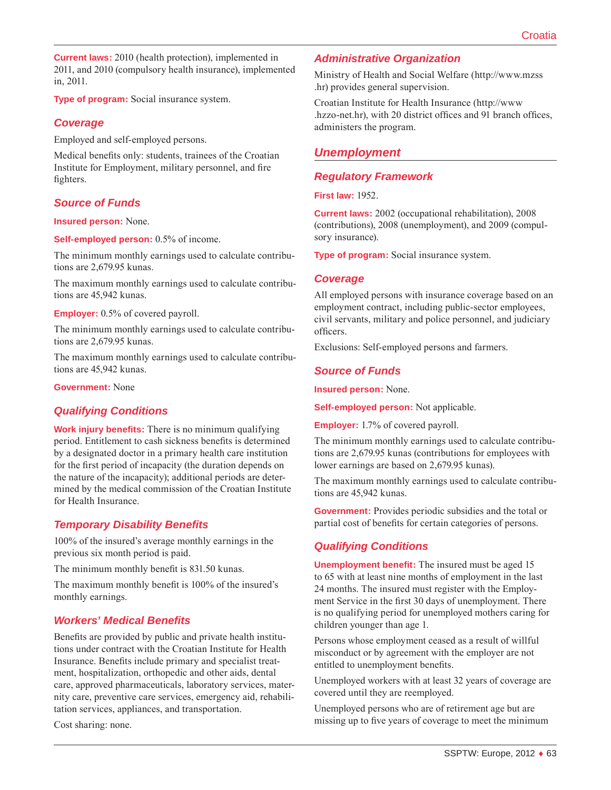**Current laws:** 2010 (health protection), implemented in 2011, and 2010 (compulsory health insurance), implemented in, 2011.

**Type of program:** Social insurance system.

### *Coverage*

Employed and self-employed persons.

Medical benefits only: students, trainees of the Croatian Institute for Employment, military personnel, and fire fighters.

# *Source of Funds*

#### **Insured person:** None.

**Self-employed person:** 0.5% of income.

The minimum monthly earnings used to calculate contributions are 2,679.95 kunas.

The maximum monthly earnings used to calculate contributions are 45,942 kunas.

**Employer:** 0.5% of covered payroll.

The minimum monthly earnings used to calculate contributions are 2,679.95 kunas.

The maximum monthly earnings used to calculate contributions are 45,942 kunas.

#### **Government:** None

### *Qualifying Conditions*

**Work injury benefits:** There is no minimum qualifying period. Entitlement to cash sickness benefits is determined by a designated doctor in a primary health care institution for the first period of incapacity (the duration depends on the nature of the incapacity); additional periods are determined by the medical commission of the Croatian Institute for Health Insurance.

### *Temporary Disability Benefits*

100% of the insured's average monthly earnings in the previous six month period is paid.

The minimum monthly benefit is 831.50 kunas.

The maximum monthly benefit is 100% of the insured's monthly earnings.

### *Workers' Medical Benefits*

Benefits are provided by public and private health institutions under contract with the Croatian Institute for Health Insurance. Benefits include primary and specialist treatment, hospitalization, orthopedic and other aids, dental care, approved pharmaceuticals, laboratory services, maternity care, preventive care services, emergency aid, rehabilitation services, appliances, and transportation.

Cost sharing: none.

### *Administrative Organization*

Ministry of Health and Social Welfare ([http://www.mzss](http://www.mzss.hr) [.hr\)](http://www.mzss.hr) provides general supervision.

Croatian Institute for Health Insurance ([http://www](http://www.hzzo-net.hr) [.hzzo-net.hr\)](http://www.hzzo-net.hr), with 20 district offices and 91 branch offices, administers the program.

# *Unemployment*

#### *Regulatory Framework*

**First law:** 1952.

**Current laws:** 2002 (occupational rehabilitation), 2008 (contributions), 2008 (unemployment), and 2009 (compulsory insurance).

**Type of program:** Social insurance system.

#### *Coverage*

All employed persons with insurance coverage based on an employment contract, including public-sector employees, civil servants, military and police personnel, and judiciary officers.

Exclusions: Self-employed persons and farmers.

### *Source of Funds*

**Insured person:** None.

**Self-employed person:** Not applicable.

**Employer:** 1.7% of covered payroll.

The minimum monthly earnings used to calculate contributions are 2,679.95 kunas (contributions for employees with lower earnings are based on 2,679.95 kunas).

The maximum monthly earnings used to calculate contributions are 45,942 kunas.

**Government:** Provides periodic subsidies and the total or partial cost of benefits for certain categories of persons.

# *Qualifying Conditions*

**Unemployment benefit:** The insured must be aged 15 to 65 with at least nine months of employment in the last 24 months. The insured must register with the Employment Service in the first 30 days of unemployment. There is no qualifying period for unemployed mothers caring for children younger than age 1.

Persons whose employment ceased as a result of willful misconduct or by agreement with the employer are not entitled to unemployment benefits.

Unemployed workers with at least 32 years of coverage are covered until they are reemployed.

Unemployed persons who are of retirement age but are missing up to five years of coverage to meet the minimum